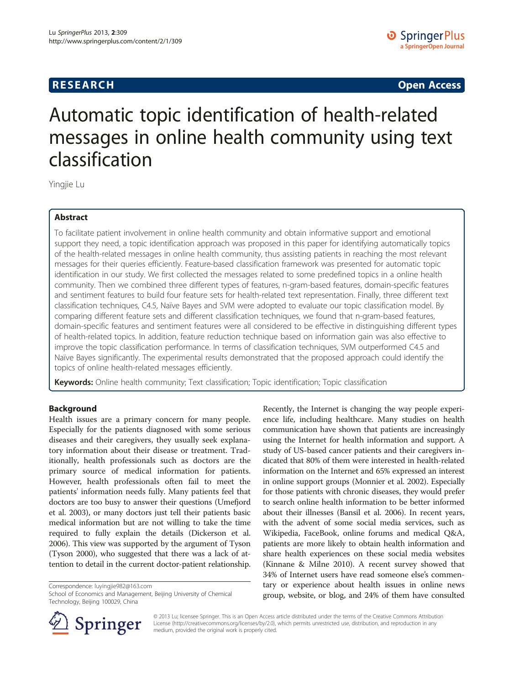# **RESEARCH CHINESE ARCH CHINESE ARCH CHINESE ARCH <b>CHINESE ARCH**

# Automatic topic identification of health-related messages in online health community using text classification

Yingjie Lu

# Abstract

To facilitate patient involvement in online health community and obtain informative support and emotional support they need, a topic identification approach was proposed in this paper for identifying automatically topics of the health-related messages in online health community, thus assisting patients in reaching the most relevant messages for their queries efficiently. Feature-based classification framework was presented for automatic topic identification in our study. We first collected the messages related to some predefined topics in a online health community. Then we combined three different types of features, n-gram-based features, domain-specific features and sentiment features to build four feature sets for health-related text representation. Finally, three different text classification techniques, C4.5, Naïve Bayes and SVM were adopted to evaluate our topic classification model. By comparing different feature sets and different classification techniques, we found that n-gram-based features, domain-specific features and sentiment features were all considered to be effective in distinguishing different types of health-related topics. In addition, feature reduction technique based on information gain was also effective to improve the topic classification performance. In terms of classification techniques, SVM outperformed C4.5 and Naïve Bayes significantly. The experimental results demonstrated that the proposed approach could identify the topics of online health-related messages efficiently.

Keywords: Online health community; Text classification; Topic identification; Topic classification

# Background

Health issues are a primary concern for many people. Especially for the patients diagnosed with some serious diseases and their caregivers, they usually seek explanatory information about their disease or treatment. Traditionally, health professionals such as doctors are the primary source of medical information for patients. However, health professionals often fail to meet the patients' information needs fully. Many patients feel that doctors are too busy to answer their questions (Umefjord et al. [2003](#page-6-0)), or many doctors just tell their patients basic medical information but are not willing to take the time required to fully explain the details (Dickerson et al. [2006\)](#page-6-0). This view was supported by the argument of Tyson (Tyson [2000\)](#page-6-0), who suggested that there was a lack of attention to detail in the current doctor-patient relationship.

Correspondence: [luyingjie982@163.com](mailto:luyingjie982@163.com)

School of Economics and Management, Beijing University of Chemical Technology, Beijing 100029, China





© 2013 Lu; licensee Springer. This is an Open Access article distributed under the terms of the Creative Commons Attribution License [\(http://creativecommons.org/licenses/by/2.0\)](http://creativecommons.org/licenses/by/2.0), which permits unrestricted use, distribution, and reproduction in any medium, provided the original work is properly cited.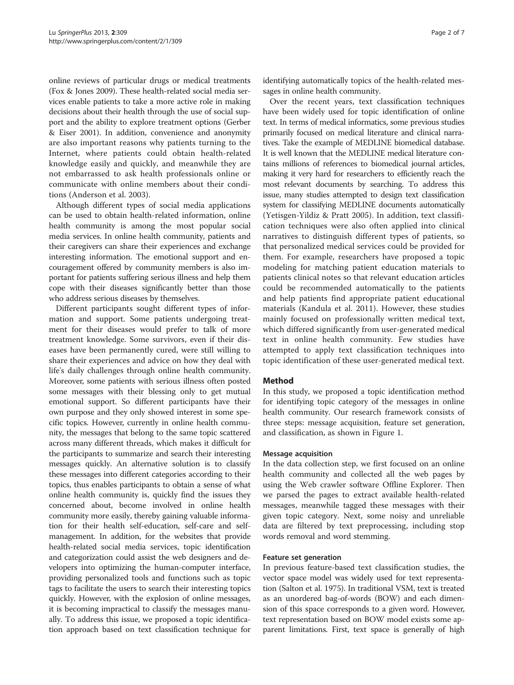online reviews of particular drugs or medical treatments (Fox & Jones [2009\)](#page-6-0). These health-related social media services enable patients to take a more active role in making decisions about their health through the use of social support and the ability to explore treatment options (Gerber & Eiser [2001\)](#page-6-0). In addition, convenience and anonymity are also important reasons why patients turning to the Internet, where patients could obtain health-related knowledge easily and quickly, and meanwhile they are not embarrassed to ask health professionals online or communicate with online members about their conditions (Anderson et al. [2003\)](#page-6-0).

Although different types of social media applications can be used to obtain health-related information, online health community is among the most popular social media services. In online health community, patients and their caregivers can share their experiences and exchange interesting information. The emotional support and encouragement offered by community members is also important for patients suffering serious illness and help them cope with their diseases significantly better than those who address serious diseases by themselves.

Different participants sought different types of information and support. Some patients undergoing treatment for their diseases would prefer to talk of more treatment knowledge. Some survivors, even if their diseases have been permanently cured, were still willing to share their experiences and advice on how they deal with life's daily challenges through online health community. Moreover, some patients with serious illness often posted some messages with their blessing only to get mutual emotional support. So different participants have their own purpose and they only showed interest in some specific topics. However, currently in online health community, the messages that belong to the same topic scattered across many different threads, which makes it difficult for the participants to summarize and search their interesting messages quickly. An alternative solution is to classify these messages into different categories according to their topics, thus enables participants to obtain a sense of what online health community is, quickly find the issues they concerned about, become involved in online health community more easily, thereby gaining valuable information for their health self-education, self-care and selfmanagement. In addition, for the websites that provide health-related social media services, topic identification and categorization could assist the web designers and developers into optimizing the human-computer interface, providing personalized tools and functions such as topic tags to facilitate the users to search their interesting topics quickly. However, with the explosion of online messages, it is becoming impractical to classify the messages manually. To address this issue, we proposed a topic identification approach based on text classification technique for identifying automatically topics of the health-related messages in online health community.

Over the recent years, text classification techniques have been widely used for topic identification of online text. In terms of medical informatics, some previous studies primarily focused on medical literature and clinical narratives. Take the example of MEDLINE biomedical database. It is well known that the MEDLINE medical literature contains millions of references to biomedical journal articles, making it very hard for researchers to efficiently reach the most relevant documents by searching. To address this issue, many studies attempted to design text classification system for classifying MEDLINE documents automatically (Yetisgen-Yildiz & Pratt [2005\)](#page-6-0). In addition, text classification techniques were also often applied into clinical narratives to distinguish different types of patients, so that personalized medical services could be provided for them. For example, researchers have proposed a topic modeling for matching patient education materials to patients clinical notes so that relevant education articles could be recommended automatically to the patients and help patients find appropriate patient educational materials (Kandula et al. [2011\)](#page-6-0). However, these studies mainly focused on professionally written medical text, which differed significantly from user-generated medical text in online health community. Few studies have attempted to apply text classification techniques into topic identification of these user-generated medical text.

# Method

In this study, we proposed a topic identification method for identifying topic category of the messages in online health community. Our research framework consists of three steps: message acquisition, feature set generation, and classification, as shown in Figure [1](#page-2-0).

#### Message acquisition

In the data collection step, we first focused on an online health community and collected all the web pages by using the Web crawler software Offline Explorer. Then we parsed the pages to extract available health-related messages, meanwhile tagged these messages with their given topic category. Next, some noisy and unreliable data are filtered by text preprocessing, including stop words removal and word stemming.

# Feature set generation

In previous feature-based text classification studies, the vector space model was widely used for text representation (Salton et al. [1975](#page-6-0)). In traditional VSM, text is treated as an unordered bag-of-words (BOW) and each dimension of this space corresponds to a given word. However, text representation based on BOW model exists some apparent limitations. First, text space is generally of high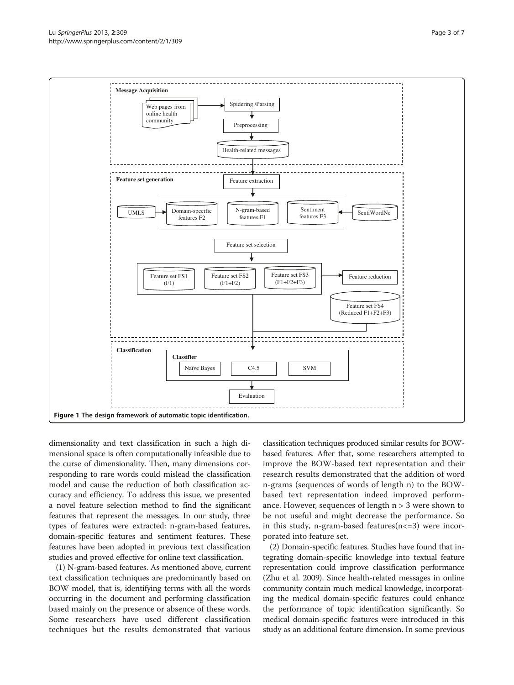<span id="page-2-0"></span>

dimensionality and text classification in such a high dimensional space is often computationally infeasible due to the curse of dimensionality. Then, many dimensions corresponding to rare words could mislead the classification model and cause the reduction of both classification accuracy and efficiency. To address this issue, we presented a novel feature selection method to find the significant features that represent the messages. In our study, three types of features were extracted: n-gram-based features, domain-specific features and sentiment features. These features have been adopted in previous text classification studies and proved effective for online text classification.

(1) N-gram-based features. As mentioned above, current text classification techniques are predominantly based on BOW model, that is, identifying terms with all the words occurring in the document and performing classification based mainly on the presence or absence of these words. Some researchers have used different classification techniques but the results demonstrated that various

classification techniques produced similar results for BOWbased features. After that, some researchers attempted to improve the BOW-based text representation and their research results demonstrated that the addition of word n-grams (sequences of words of length n) to the BOWbased text representation indeed improved performance. However, sequences of length n > 3 were shown to be not useful and might decrease the performance. So in this study, n-gram-based features $(n \lt 3)$  were incorporated into feature set.

(2) Domain-specific features. Studies have found that integrating domain-specific knowledge into textual feature representation could improve classification performance (Zhu et al. [2009](#page-6-0)). Since health-related messages in online community contain much medical knowledge, incorporating the medical domain-specific features could enhance the performance of topic identification significantly. So medical domain-specific features were introduced in this study as an additional feature dimension. In some previous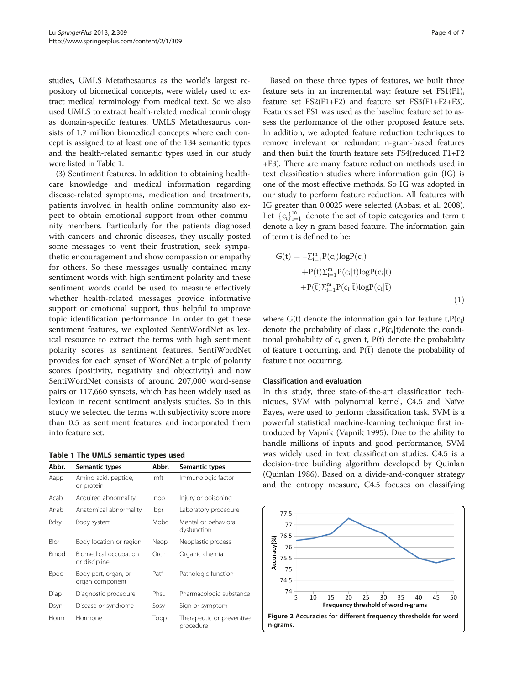<span id="page-3-0"></span>studies, UMLS Metathesaurus as the world's largest repository of biomedical concepts, were widely used to extract medical terminology from medical text. So we also used UMLS to extract health-related medical terminology as domain-specific features. UMLS Metathesaurus consists of 1.7 million biomedical concepts where each concept is assigned to at least one of the 134 semantic types and the health-related semantic types used in our study were listed in Table 1.

(3) Sentiment features. In addition to obtaining healthcare knowledge and medical information regarding disease-related symptoms, medication and treatments, patients involved in health online community also expect to obtain emotional support from other community members. Particularly for the patients diagnosed with cancers and chronic diseases, they usually posted some messages to vent their frustration, seek sympathetic encouragement and show compassion or empathy for others. So these messages usually contained many sentiment words with high sentiment polarity and these sentiment words could be used to measure effectively whether health-related messages provide informative support or emotional support, thus helpful to improve topic identification performance. In order to get these sentiment features, we exploited SentiWordNet as lexical resource to extract the terms with high sentiment polarity scores as sentiment features. SentiWordNet provides for each synset of WordNet a triple of polarity scores (positivity, negativity and objectivity) and now SentiWordNet consists of around 207,000 word-sense pairs or 117,660 synsets, which has been widely used as lexicon in recent sentiment analysis studies. So in this study we selected the terms with subjectivity score more than 0.5 as sentiment features and incorporated them into feature set.

|  |  |  |  | Table 1 The UMLS semantic types used |  |  |
|--|--|--|--|--------------------------------------|--|--|
|--|--|--|--|--------------------------------------|--|--|

| Abbr. | Semantic types                          | Abbr.       | Semantic types                         |
|-------|-----------------------------------------|-------------|----------------------------------------|
| Aapp  | Amino acid, peptide,<br>or protein      | <b>Imft</b> | Immunologic factor                     |
| Acab  | Acquired abnormality                    | Inpo        | Injury or poisoning                    |
| Anab  | Anatomical abnormality                  | Ibpr        | Laboratory procedure                   |
| Bdsy  | Body system                             | Mobd        | Mental or behavioral<br>dysfunction    |
| Blor  | Body location or region                 | Neop        | Neoplastic process                     |
| Bmod  | Biomedical occupation<br>or discipline  | Orch        | Organic chemial                        |
| Bpoc  | Body part, organ, or<br>organ component | Patf        | Pathologic function                    |
| Diap  | Diagnostic procedure                    | Phsu        | Pharmacologic substance                |
| Dsyn  | Disease or syndrome                     | Sosy        | Sign or symptom                        |
| Horm  | Hormone                                 | Topp        | Therapeutic or preventive<br>procedure |

Based on these three types of features, we built three feature sets in an incremental way: feature set FS1(F1), feature set FS2(F1+F2) and feature set FS3(F1+F2+F3). Features set FS1 was used as the baseline feature set to assess the performance of the other proposed feature sets. In addition, we adopted feature reduction techniques to remove irrelevant or redundant n-gram-based features and then built the fourth feature sets FS4(reduced F1+F2 +F3). There are many feature reduction methods used in text classification studies where information gain (IG) is one of the most effective methods. So IG was adopted in our study to perform feature reduction. All features with IG greater than 0.0025 were selected (Abbasi et al. [2008](#page-6-0)). Let  ${c_i}_{i=1}^m$  denote the set of topic categories and term t<br>denote a levy n gram based feature. The information gain denote a key n-gram-based feature. The information gain of term t is defined to be:

$$
G(t) = -\sum_{i=1}^{m} P(c_i) log P(c_i)
$$
  
+
$$
P(t) \sum_{i=1}^{m} P(c_i|t) log P(c_i|t)
$$
  
+
$$
P(\bar{t}) \sum_{i=1}^{m} P(c_i|\bar{t}) log P(c_i|\bar{t})
$$
  
(1)

where  $G(t)$  denote the information gain for feature  $t, P(c_i)$ denote the probability of class  $c_i P(c_i|t)$ denote the conditional probability of  $c_i$  given t,  $P(t)$  denote the probability of feature t occurring, and  $P(\bar{t})$  denote the probability of feature t not occurring.

#### Classification and evaluation

In this study, three state-of-the-art classification techniques, SVM with polynomial kernel, C4.5 and Naïve Bayes, were used to perform classification task. SVM is a powerful statistical machine-learning technique first introduced by Vapnik (Vapnik [1995\)](#page-6-0). Due to the ability to handle millions of inputs and good performance, SVM was widely used in text classification studies. C4.5 is a decision-tree building algorithm developed by Quinlan (Quinlan [1986](#page-6-0)). Based on a divide-and-conquer strategy and the entropy measure, C4.5 focuses on classifying

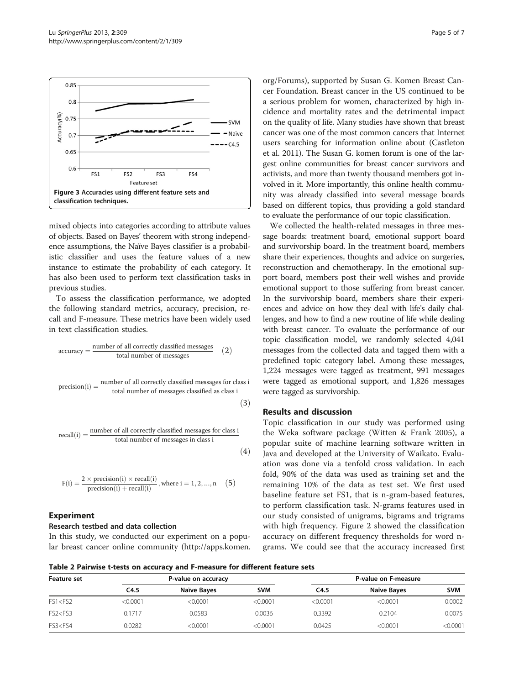<span id="page-4-0"></span>

mixed objects into categories according to attribute values of objects. Based on Bayes' theorem with strong independence assumptions, the Naïve Bayes classifier is a probabilistic classifier and uses the feature values of a new instance to estimate the probability of each category. It has also been used to perform text classification tasks in previous studies.

To assess the classification performance, we adopted the following standard metrics, accuracy, precision, recall and F-measure. These metrics have been widely used in text classification studies.

$$
accuracy = \frac{number \ of \ all \ correctly classified messages}{total \ number \ of messages} \tag{2}
$$
\n
$$
precision(i) = \frac{number \ of \ all \ correctly classified messages for class i}{total \ number \ of messages classified as class i} \tag{3}
$$

$$
recall(i) = \frac{number of all correctly classified messages for class i}{total number of messages in class i}
$$
\n(4)

$$
F(i) = \frac{2 \times \text{precision}(i) \times \text{recall}(i)}{\text{precision}(i) + \text{recall}(i)}, \text{where } i = 1, 2, ..., n \quad (5)
$$

## Experiment

### Research testbed and data collection

In this study, we conducted our experiment on a popular breast cancer online community [\(http://apps.komen.](http://apps.komen.org/Forums) [org/Forums\)](http://apps.komen.org/Forums), supported by Susan G. Komen Breast Cancer Foundation. Breast cancer in the US continued to be a serious problem for women, characterized by high incidence and mortality rates and the detrimental impact on the quality of life. Many studies have shown that breast cancer was one of the most common cancers that Internet users searching for information online about (Castleton et al. [2011](#page-6-0)). The Susan G. komen forum is one of the largest online communities for breast cancer survivors and activists, and more than twenty thousand members got involved in it. More importantly, this online health community was already classified into several message boards based on different topics, thus providing a gold standard to evaluate the performance of our topic classification.

We collected the health-related messages in three message boards: treatment board, emotional support board and survivorship board. In the treatment board, members share their experiences, thoughts and advice on surgeries, reconstruction and chemotherapy. In the emotional support board, members post their well wishes and provide emotional support to those suffering from breast cancer. In the survivorship board, members share their experiences and advice on how they deal with life's daily challenges, and how to find a new routine of life while dealing with breast cancer. To evaluate the performance of our topic classification model, we randomly selected 4,041 messages from the collected data and tagged them with a predefined topic category label. Among these messages, 1,224 messages were tagged as treatment, 991 messages were tagged as emotional support, and 1,826 messages were tagged as survivorship.

## Results and discussion

Topic classification in our study was performed using the Weka software package (Witten & Frank [2005](#page-6-0)), a popular suite of machine learning software written in Java and developed at the University of Waikato. Evaluation was done via a tenfold cross validation. In each fold, 90% of the data was used as training set and the remaining 10% of the data as test set. We first used baseline feature set FS1, that is n-gram-based features, to perform classification task. N-grams features used in our study consisted of unigrams, bigrams and trigrams with high frequency. Figure [2](#page-3-0) showed the classification accuracy on different frequency thresholds for word ngrams. We could see that the accuracy increased first

Table 2 Pairwise t-tests on accuracy and F-measure for different feature sets

| Feature set                                                                                                                           |          | P-value on accuracy |            | P-value on F-measure |             |            |  |
|---------------------------------------------------------------------------------------------------------------------------------------|----------|---------------------|------------|----------------------|-------------|------------|--|
|                                                                                                                                       | C4.5     | Naïve Bayes         | <b>SVM</b> | C4.5                 | Naïve Bayes | <b>SVM</b> |  |
| FS1 < FS2                                                                                                                             | < 0.0001 | < 0.0001            | < 0.0001   | < 0.0001             | < 0.0001    | 0.0002     |  |
| FS2 <fs3< td=""><td>0.1717</td><td>0.0583</td><td>0.0036</td><td>0.3392</td><td>0.2104</td><td>0.0075</td></fs3<>                     | 0.1717   | 0.0583              | 0.0036     | 0.3392               | 0.2104      | 0.0075     |  |
| FS3 <fs4< td=""><td>0.0282</td><td>&lt; 0.0001</td><td>&lt; 0.0001</td><td>0.0425</td><td>&lt; 0.0001</td><td>&lt; 0.0001</td></fs4<> | 0.0282   | < 0.0001            | < 0.0001   | 0.0425               | < 0.0001    | < 0.0001   |  |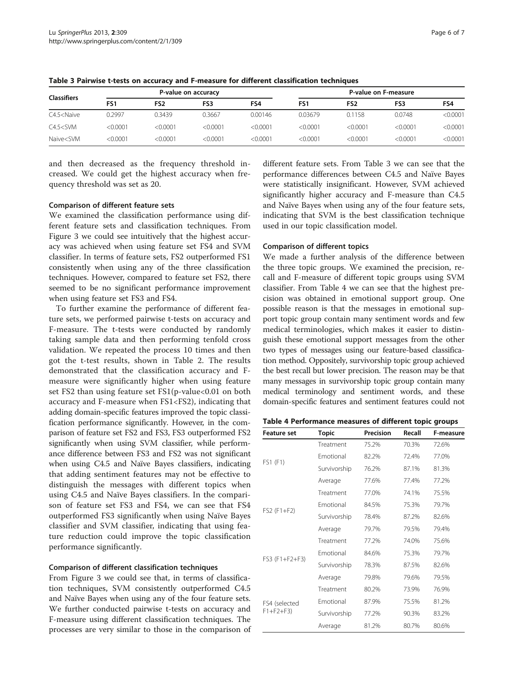| <b>Classifiers</b>                                                                                                                                                                       |          | P-value on accuracy |          |          |                 | P-value on F-measure |          |          |  |
|------------------------------------------------------------------------------------------------------------------------------------------------------------------------------------------|----------|---------------------|----------|----------|-----------------|----------------------|----------|----------|--|
|                                                                                                                                                                                          | FS1      | FS2                 | FS3      | FS4      | FS <sub>1</sub> | FS <sub>2</sub>      | FS3      | FS4      |  |
| C4.5 <naive< td=""><td>0.2997</td><td>0.3439</td><td>0.3667</td><td>0.00146</td><td>0.03679</td><td>0.1158</td><td>0.0748</td><td>&lt; 0.0001</td></naive<>                              | 0.2997   | 0.3439              | 0.3667   | 0.00146  | 0.03679         | 0.1158               | 0.0748   | < 0.0001 |  |
| $C4.5 <$ SVM                                                                                                                                                                             | < 0.0001 | < 0.0001            | < 0.0001 | < 0.0001 | < 0.0001        | < 0.0001             | < 0.0001 | < 0.0001 |  |
| Naive <svm< td=""><td>&lt; 0.0001</td><td>&lt;0.0001</td><td>&lt; 0.0001</td><td>&lt; 0.0001</td><td>&lt; 0.0001</td><td>&lt; 0.0001</td><td>&lt; 0.0001</td><td>&lt; 0.0001</td></svm<> | < 0.0001 | <0.0001             | < 0.0001 | < 0.0001 | < 0.0001        | < 0.0001             | < 0.0001 | < 0.0001 |  |

Table 3 Pairwise t-tests on accuracy and F-measure for different classification techniques

and then decreased as the frequency threshold increased. We could get the highest accuracy when frequency threshold was set as 20.

#### Comparison of different feature sets

We examined the classification performance using different feature sets and classification techniques. From Figure [3](#page-4-0) we could see intuitively that the highest accuracy was achieved when using feature set FS4 and SVM classifier. In terms of feature sets, FS2 outperformed FS1 consistently when using any of the three classification techniques. However, compared to feature set FS2, there seemed to be no significant performance improvement when using feature set FS3 and FS4.

To further examine the performance of different feature sets, we performed pairwise t-tests on accuracy and F-measure. The t-tests were conducted by randomly taking sample data and then performing tenfold cross validation. We repeated the process 10 times and then got the t-test results, shown in Table [2](#page-4-0). The results demonstrated that the classification accuracy and Fmeasure were significantly higher when using feature set FS2 than using feature set FS1(p-value<0.01 on both accuracy and F-measure when FS1<FS2), indicating that adding domain-specific features improved the topic classification performance significantly. However, in the comparison of feature set FS2 and FS3, FS3 outperformed FS2 significantly when using SVM classifier, while performance difference between FS3 and FS2 was not significant when using C4.5 and Naïve Bayes classifiers, indicating that adding sentiment features may not be effective to distinguish the messages with different topics when using C4.5 and Naïve Bayes classifiers. In the comparison of feature set FS3 and FS4, we can see that FS4 outperformed FS3 significantly when using Naïve Bayes classifier and SVM classifier, indicating that using feature reduction could improve the topic classification performance significantly.

#### Comparison of different classification techniques

From Figure [3](#page-4-0) we could see that, in terms of classification techniques, SVM consistently outperformed C4.5 and Naïve Bayes when using any of the four feature sets. We further conducted pairwise t-tests on accuracy and F-measure using different classification techniques. The processes are very similar to those in the comparison of

different feature sets. From Table 3 we can see that the performance differences between C4.5 and Naïve Bayes were statistically insignificant. However, SVM achieved significantly higher accuracy and F-measure than C4.5 and Naïve Bayes when using any of the four feature sets, indicating that SVM is the best classification technique used in our topic classification model.

### Comparison of different topics

We made a further analysis of the difference between the three topic groups. We examined the precision, recall and F-measure of different topic groups using SVM classifier. From Table 4 we can see that the highest precision was obtained in emotional support group. One possible reason is that the messages in emotional support topic group contain many sentiment words and few medical terminologies, which makes it easier to distinguish these emotional support messages from the other two types of messages using our feature-based classification method. Oppositely, survivorship topic group achieved the best recall but lower precision. The reason may be that many messages in survivorship topic group contain many medical terminology and sentiment words, and these domain-specific features and sentiment features could not

| <b>Feature set</b> | <b>Topic</b>     | Precision | Recall | F-measure |
|--------------------|------------------|-----------|--------|-----------|
|                    | Treatment        | 75.2%     | 70.3%  | 72.6%     |
|                    | <b>Emotional</b> | 82.2%     | 72.4%  | 77.0%     |
| FS1 (F1)           | Survivorship     | 76.2%     | 87.1%  | 81.3%     |
|                    | Average          | 77.6%     | 77.4%  | 77.2%     |
|                    | Treatment        | 77.0%     | 74.1%  | 75.5%     |
|                    | <b>Emotional</b> | 84.5%     | 75.3%  | 79.7%     |
| $FS2$ (F1+F2)      | Survivorship     | 78.4%     | 87.2%  | 82.6%     |
|                    | Average          | 79.7%     | 79.5%  | 79.4%     |
|                    | Treatment        | 77.2%     | 74.0%  | 75.6%     |
|                    | <b>Emotional</b> | 84.6%     | 75.3%  | 79.7%     |
| FS3 (F1+F2+F3)     | Survivorship     | 78.3%     | 87.5%  | 82.6%     |
|                    | Average          | 79.8%     | 79.6%  | 79.5%     |
|                    | Treatment        | 80.2%     | 73.9%  | 76.9%     |
| FS4 (selected      | Emotional        | 87.9%     | 75.5%  | 81.2%     |
| $F1 + F2 + F3$     | Survivorship     | 77.2%     | 90.3%  | 83.2%     |
|                    | Average          | 81.2%     | 80.7%  | 80.6%     |